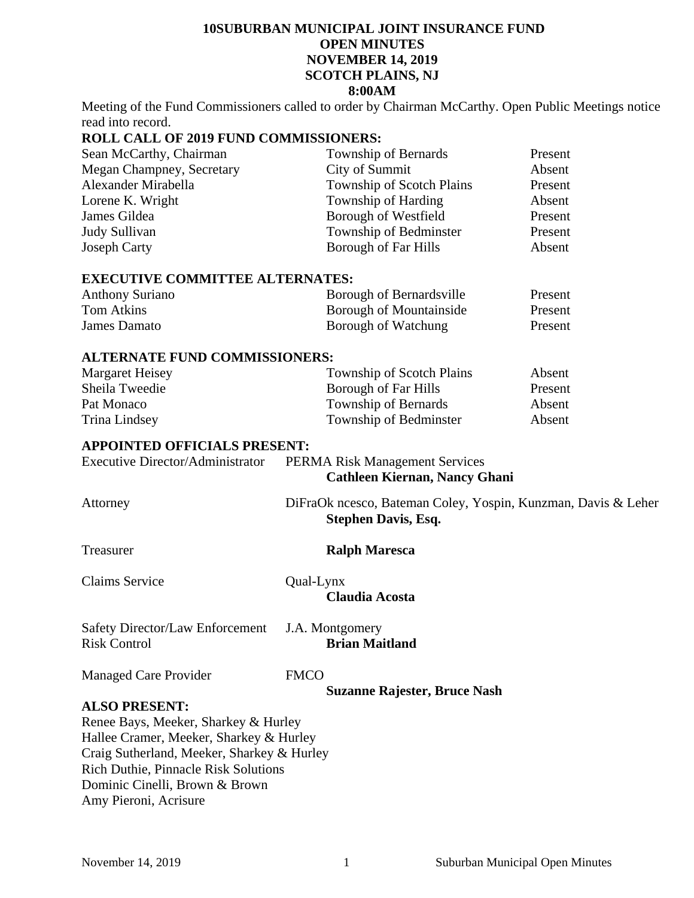## **10SUBURBAN MUNICIPAL JOINT INSURANCE FUND OPEN MINUTES NOVEMBER 14, 2019 SCOTCH PLAINS, NJ 8:00AM**

Meeting of the Fund Commissioners called to order by Chairman McCarthy. Open Public Meetings notice read into record.

## **ROLL CALL OF 2019 FUND COMMISSIONERS:**

| Sean McCarthy, Chairman   | Township of Bernards             | Present |
|---------------------------|----------------------------------|---------|
| Megan Champney, Secretary | City of Summit                   | Absent  |
| Alexander Mirabella       | <b>Township of Scotch Plains</b> | Present |
| Lorene K. Wright          | Township of Harding              | Absent  |
| James Gildea              | Borough of Westfield             | Present |
| Judy Sullivan             | Township of Bedminster           | Present |
| <b>Joseph Carty</b>       | Borough of Far Hills             | Absent  |

#### **EXECUTIVE COMMITTEE ALTERNATES:**

| <b>Anthony Suriano</b> | Borough of Bernardsville       | Present |
|------------------------|--------------------------------|---------|
| Tom Atkins             | <b>Borough of Mountainside</b> | Present |
| James Damato           | Borough of Watchung            | Present |

## **ALTERNATE FUND COMMISSIONERS:**

| Margaret Heisey | Township of Scotch Plains | Absent  |
|-----------------|---------------------------|---------|
| Sheila Tweedie  | Borough of Far Hills      | Present |
| Pat Monaco      | Township of Bernards      | Absent  |
| Trina Lindsey   | Township of Bedminster    | Absent  |

## **APPOINTED OFFICIALS PRESENT:**

Executive Director/Administrator PERMA Risk Management Services **Cathleen Kiernan, Nancy Ghani** 

Attorney DiFraOk ncesco, Bateman Coley, Yospin, Kunzman, Davis & Leher

 **Stephen Davis, Esq.** 

Claims Service Qual-Lynx  **Claudia Acosta** 

Treasurer **Ralph Maresca** 

Safety Director/Law Enforcement J.A. Montgomery<br>Risk Control **Brian Ma**i

Risk Control **Brian Maitland** 

Managed Care Provider FMCO

**Suzanne Rajester, Bruce Nash** 

## **ALSO PRESENT:**

Renee Bays, Meeker, Sharkey & Hurley Hallee Cramer, Meeker, Sharkey & Hurley Craig Sutherland, Meeker, Sharkey & Hurley Rich Duthie, Pinnacle Risk Solutions Dominic Cinelli, Brown & Brown Amy Pieroni, Acrisure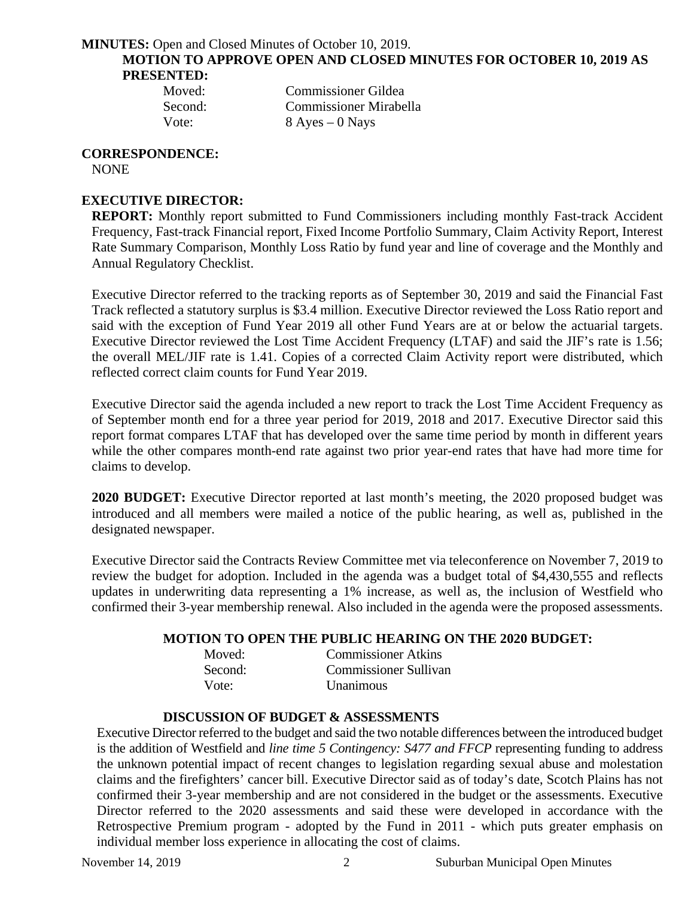**MINUTES:** Open and Closed Minutes of October 10, 2019. **MOTION TO APPROVE OPEN AND CLOSED MINUTES FOR OCTOBER 10, 2019 AS PRESENTED:** 

| Moved:  | <b>Commissioner Gildea</b>    |
|---------|-------------------------------|
| Second: | <b>Commissioner Mirabella</b> |
| Vote:   | $8$ Ayes $-0$ Nays            |

#### **CORRESPONDENCE:**

NONE

## **EXECUTIVE DIRECTOR:**

**REPORT:** Monthly report submitted to Fund Commissioners including monthly Fast-track Accident Frequency, Fast-track Financial report, Fixed Income Portfolio Summary, Claim Activity Report, Interest Rate Summary Comparison, Monthly Loss Ratio by fund year and line of coverage and the Monthly and Annual Regulatory Checklist.

Executive Director referred to the tracking reports as of September 30, 2019 and said the Financial Fast Track reflected a statutory surplus is \$3.4 million. Executive Director reviewed the Loss Ratio report and said with the exception of Fund Year 2019 all other Fund Years are at or below the actuarial targets. Executive Director reviewed the Lost Time Accident Frequency (LTAF) and said the JIF's rate is 1.56; the overall MEL/JIF rate is 1.41. Copies of a corrected Claim Activity report were distributed, which reflected correct claim counts for Fund Year 2019.

Executive Director said the agenda included a new report to track the Lost Time Accident Frequency as of September month end for a three year period for 2019, 2018 and 2017. Executive Director said this report format compares LTAF that has developed over the same time period by month in different years while the other compares month-end rate against two prior year-end rates that have had more time for claims to develop.

**2020 BUDGET:** Executive Director reported at last month's meeting, the 2020 proposed budget was introduced and all members were mailed a notice of the public hearing, as well as, published in the designated newspaper.

Executive Director said the Contracts Review Committee met via teleconference on November 7, 2019 to review the budget for adoption. Included in the agenda was a budget total of \$4,430,555 and reflects updates in underwriting data representing a 1% increase, as well as, the inclusion of Westfield who confirmed their 3-year membership renewal. Also included in the agenda were the proposed assessments.

## **MOTION TO OPEN THE PUBLIC HEARING ON THE 2020 BUDGET:**

| Moved:  | <b>Commissioner Atkins</b>   |
|---------|------------------------------|
| Second: | <b>Commissioner Sullivan</b> |
| Vote:   | Unanimous                    |

## **DISCUSSION OF BUDGET & ASSESSMENTS**

Executive Director referred to the budget and said the two notable differences between the introduced budget is the addition of Westfield and *line time 5 Contingency: S477 and FFCP* representing funding to address the unknown potential impact of recent changes to legislation regarding sexual abuse and molestation claims and the firefighters' cancer bill. Executive Director said as of today's date, Scotch Plains has not confirmed their 3-year membership and are not considered in the budget or the assessments. Executive Director referred to the 2020 assessments and said these were developed in accordance with the Retrospective Premium program - adopted by the Fund in 2011 - which puts greater emphasis on individual member loss experience in allocating the cost of claims.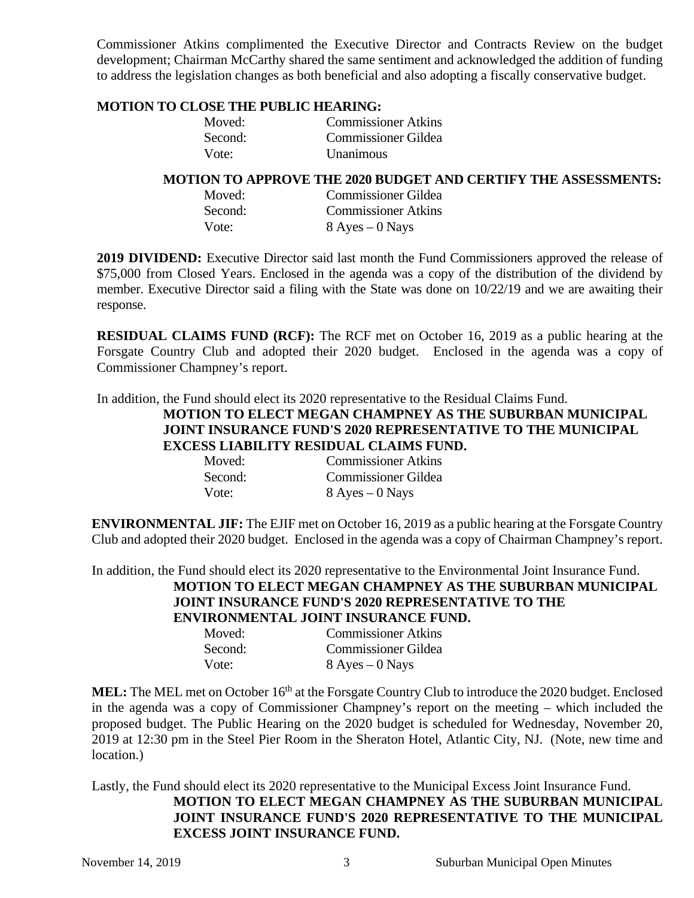Commissioner Atkins complimented the Executive Director and Contracts Review on the budget development; Chairman McCarthy shared the same sentiment and acknowledged the addition of funding to address the legislation changes as both beneficial and also adopting a fiscally conservative budget.

## **MOTION TO CLOSE THE PUBLIC HEARING:**

| Moved:  | <b>Commissioner Atkins</b> |
|---------|----------------------------|
| Second: | <b>Commissioner Gildea</b> |
| Vote:   | Unanimous                  |

## **MOTION TO APPROVE THE 2020 BUDGET AND CERTIFY THE ASSESSMENTS:**

| Moved:  | <b>Commissioner Gildea</b> |
|---------|----------------------------|
| Second: | <b>Commissioner Atkins</b> |
| Vote:   | $8$ Ayes $-0$ Nays         |

**2019 DIVIDEND:** Executive Director said last month the Fund Commissioners approved the release of \$75,000 from Closed Years. Enclosed in the agenda was a copy of the distribution of the dividend by member. Executive Director said a filing with the State was done on 10/22/19 and we are awaiting their response.

**RESIDUAL CLAIMS FUND (RCF):** The RCF met on October 16, 2019 as a public hearing at the Forsgate Country Club and adopted their 2020 budget. Enclosed in the agenda was a copy of Commissioner Champney's report.

In addition, the Fund should elect its 2020 representative to the Residual Claims Fund.

## **MOTION TO ELECT MEGAN CHAMPNEY AS THE SUBURBAN MUNICIPAL JOINT INSURANCE FUND'S 2020 REPRESENTATIVE TO THE MUNICIPAL EXCESS LIABILITY RESIDUAL CLAIMS FUND.**

| Moved:  | <b>Commissioner Atkins</b> |
|---------|----------------------------|
| Second: | <b>Commissioner Gildea</b> |
| Vote:   | $8$ Ayes $-0$ Nays         |

**ENVIRONMENTAL JIF:** The EJIF met on October 16, 2019 as a public hearing at the Forsgate Country Club and adopted their 2020 budget. Enclosed in the agenda was a copy of Chairman Champney's report.

In addition, the Fund should elect its 2020 representative to the Environmental Joint Insurance Fund.

# **MOTION TO ELECT MEGAN CHAMPNEY AS THE SUBURBAN MUNICIPAL JOINT INSURANCE FUND'S 2020 REPRESENTATIVE TO THE**

**ENVIRONMENTAL JOINT INSURANCE FUND.** 

| Moved:  | <b>Commissioner Atkins</b> |
|---------|----------------------------|
| Second: | <b>Commissioner Gildea</b> |
| Vote:   | $8$ Ayes $-0$ Nays         |

MEL: The MEL met on October 16<sup>th</sup> at the Forsgate Country Club to introduce the 2020 budget. Enclosed in the agenda was a copy of Commissioner Champney's report on the meeting – which included the proposed budget. The Public Hearing on the 2020 budget is scheduled for Wednesday, November 20, 2019 at 12:30 pm in the Steel Pier Room in the Sheraton Hotel, Atlantic City, NJ. (Note, new time and location.)

Lastly, the Fund should elect its 2020 representative to the Municipal Excess Joint Insurance Fund. **MOTION TO ELECT MEGAN CHAMPNEY AS THE SUBURBAN MUNICIPAL JOINT INSURANCE FUND'S 2020 REPRESENTATIVE TO THE MUNICIPAL EXCESS JOINT INSURANCE FUND.**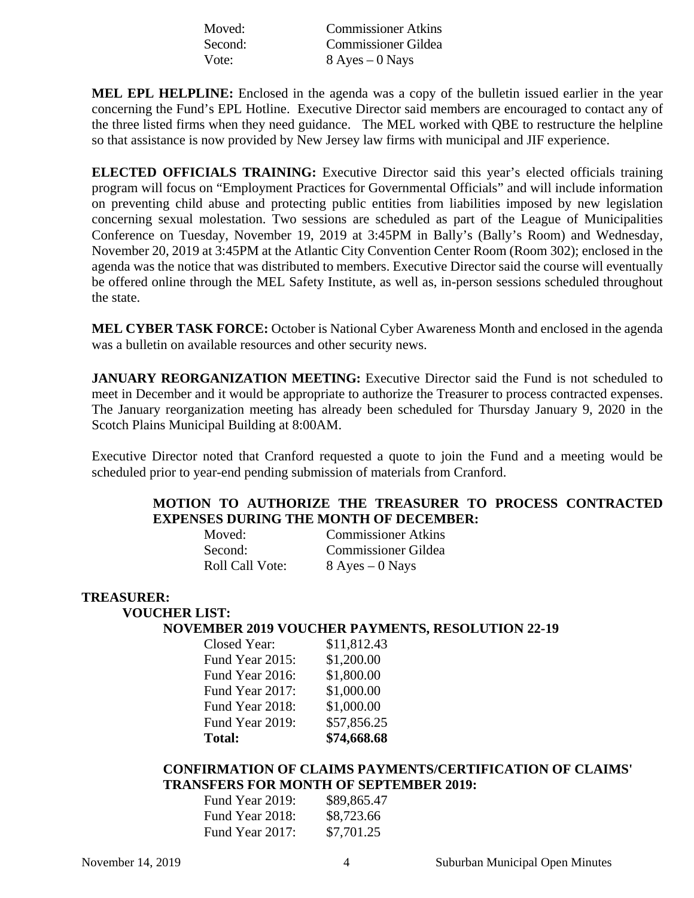| Moved:  | <b>Commissioner Atkins</b> |
|---------|----------------------------|
| Second: | <b>Commissioner Gildea</b> |
| Vote:   | $8$ Ayes $-0$ Nays         |

**MEL EPL HELPLINE:** Enclosed in the agenda was a copy of the bulletin issued earlier in the year concerning the Fund's EPL Hotline. Executive Director said members are encouraged to contact any of the three listed firms when they need guidance. The MEL worked with QBE to restructure the helpline so that assistance is now provided by New Jersey law firms with municipal and JIF experience.

**ELECTED OFFICIALS TRAINING:** Executive Director said this year's elected officials training program will focus on "Employment Practices for Governmental Officials" and will include information on preventing child abuse and protecting public entities from liabilities imposed by new legislation concerning sexual molestation. Two sessions are scheduled as part of the League of Municipalities Conference on Tuesday, November 19, 2019 at 3:45PM in Bally's (Bally's Room) and Wednesday, November 20, 2019 at 3:45PM at the Atlantic City Convention Center Room (Room 302); enclosed in the agenda was the notice that was distributed to members. Executive Director said the course will eventually be offered online through the MEL Safety Institute, as well as, in-person sessions scheduled throughout the state.

**MEL CYBER TASK FORCE:** October is National Cyber Awareness Month and enclosed in the agenda was a bulletin on available resources and other security news.

**JANUARY REORGANIZATION MEETING:** Executive Director said the Fund is not scheduled to meet in December and it would be appropriate to authorize the Treasurer to process contracted expenses. The January reorganization meeting has already been scheduled for Thursday January 9, 2020 in the Scotch Plains Municipal Building at 8:00AM.

Executive Director noted that Cranford requested a quote to join the Fund and a meeting would be scheduled prior to year-end pending submission of materials from Cranford.

## **MOTION TO AUTHORIZE THE TREASURER TO PROCESS CONTRACTED EXPENSES DURING THE MONTH OF DECEMBER:**

| Moved:          | <b>Commissioner Atkins</b> |
|-----------------|----------------------------|
| Second:         | <b>Commissioner Gildea</b> |
| Roll Call Vote: | $8$ Ayes $-0$ Nays         |

#### **TREASURER:**

## **VOUCHER LIST:**

#### **NOVEMBER 2019 VOUCHER PAYMENTS, RESOLUTION 22-19**

| Closed Year:    | \$11,812.43 |
|-----------------|-------------|
| Fund Year 2015: | \$1,200.00  |
| Fund Year 2016: | \$1,800.00  |
| Fund Year 2017: | \$1,000.00  |
| Fund Year 2018: | \$1,000.00  |
| Fund Year 2019: | \$57,856.25 |
| <b>Total:</b>   | \$74,668.68 |

## **CONFIRMATION OF CLAIMS PAYMENTS/CERTIFICATION OF CLAIMS' TRANSFERS FOR MONTH OF SEPTEMBER 2019:**

| Fund Year 2019: | \$89,865.47 |
|-----------------|-------------|
| Fund Year 2018: | \$8,723.66  |
| Fund Year 2017: | \$7,701.25  |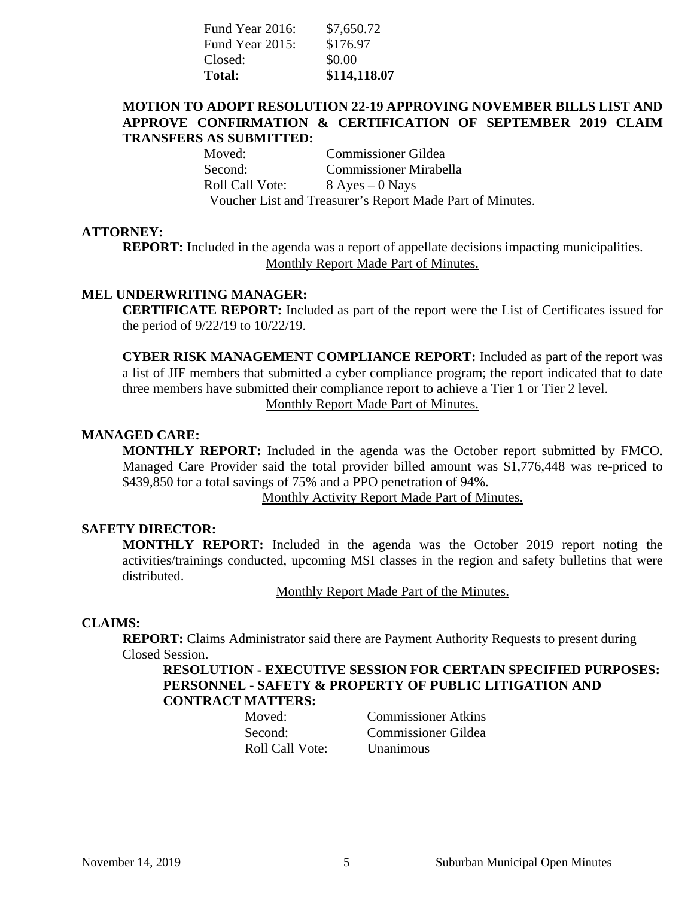| Fund Year 2016: | \$7,650.72   |
|-----------------|--------------|
| Fund Year 2015: | \$176.97     |
| Closed:         | \$0.00       |
| <b>Total:</b>   | \$114,118.07 |

## **MOTION TO ADOPT RESOLUTION 22-19 APPROVING NOVEMBER BILLS LIST AND APPROVE CONFIRMATION & CERTIFICATION OF SEPTEMBER 2019 CLAIM TRANSFERS AS SUBMITTED:**

Moved: Commissioner Gildea Second: Commissioner Mirabella Roll Call Vote: 8 Ayes – 0 Nays Voucher List and Treasurer's Report Made Part of Minutes.

#### **ATTORNEY:**

**REPORT:** Included in the agenda was a report of appellate decisions impacting municipalities. Monthly Report Made Part of Minutes.

## **MEL UNDERWRITING MANAGER:**

**CERTIFICATE REPORT:** Included as part of the report were the List of Certificates issued for the period of 9/22/19 to 10/22/19.

**CYBER RISK MANAGEMENT COMPLIANCE REPORT:** Included as part of the report was a list of JIF members that submitted a cyber compliance program; the report indicated that to date three members have submitted their compliance report to achieve a Tier 1 or Tier 2 level. Monthly Report Made Part of Minutes.

## **MANAGED CARE:**

**MONTHLY REPORT:** Included in the agenda was the October report submitted by FMCO. Managed Care Provider said the total provider billed amount was \$1,776,448 was re-priced to \$439,850 for a total savings of 75% and a PPO penetration of 94%.

Monthly Activity Report Made Part of Minutes.

## **SAFETY DIRECTOR:**

**MONTHLY REPORT:** Included in the agenda was the October 2019 report noting the activities/trainings conducted, upcoming MSI classes in the region and safety bulletins that were distributed.

Monthly Report Made Part of the Minutes.

#### **CLAIMS:**

**REPORT:** Claims Administrator said there are Payment Authority Requests to present during Closed Session.

**RESOLUTION - EXECUTIVE SESSION FOR CERTAIN SPECIFIED PURPOSES: PERSONNEL - SAFETY & PROPERTY OF PUBLIC LITIGATION AND CONTRACT MATTERS:**

Roll Call Vote: Unanimous

Moved: Commissioner Atkins Second: Commissioner Gildea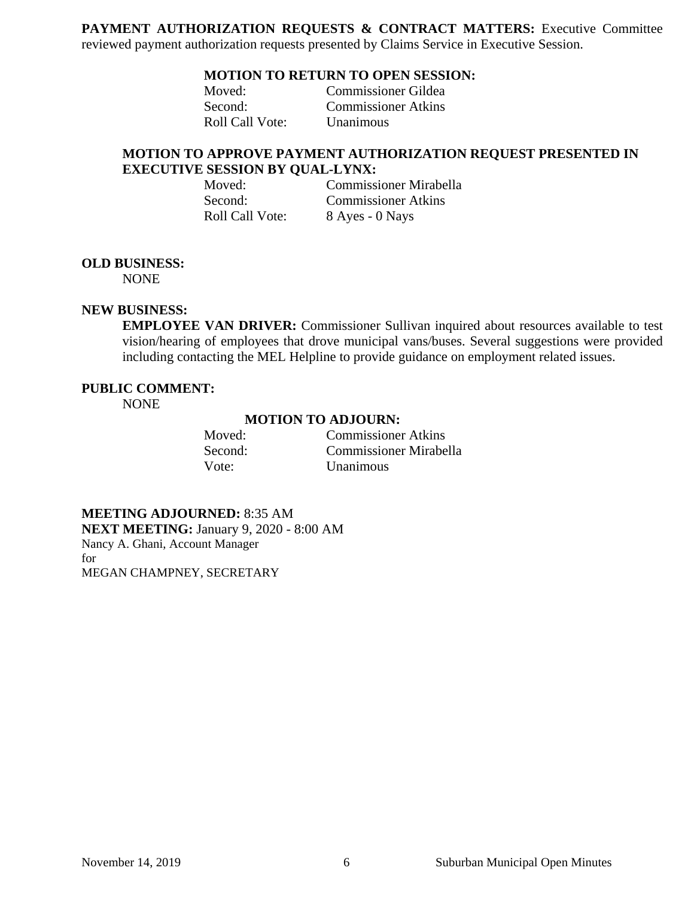PAYMENT AUTHORIZATION REQUESTS & CONTRACT MATTERS: Executive Committee reviewed payment authorization requests presented by Claims Service in Executive Session.

## **MOTION TO RETURN TO OPEN SESSION:**

Moved: Commissioner Gildea Second: Commissioner Atkins Roll Call Vote: Unanimous

## **MOTION TO APPROVE PAYMENT AUTHORIZATION REQUEST PRESENTED IN EXECUTIVE SESSION BY QUAL-LYNX:**

Second: Commissioner Atkins Roll Call Vote: 8 Ayes - 0 Nays

Moved: Commissioner Mirabella

## **OLD BUSINESS:**

NONE

#### **NEW BUSINESS:**

**EMPLOYEE VAN DRIVER:** Commissioner Sullivan inquired about resources available to test vision/hearing of employees that drove municipal vans/buses. Several suggestions were provided including contacting the MEL Helpline to provide guidance on employment related issues.

## **PUBLIC COMMENT:**

NONE

#### **MOTION TO ADJOURN:**

| Moved:  | <b>Commissioner Atkins</b>    |
|---------|-------------------------------|
| Second: | <b>Commissioner Mirabella</b> |
| Vote:   | <b>Unanimous</b>              |

**MEETING ADJOURNED:** 8:35 AM **NEXT MEETING:** January 9, 2020 - 8:00 AM Nancy A. Ghani, Account Manager for MEGAN CHAMPNEY, SECRETARY